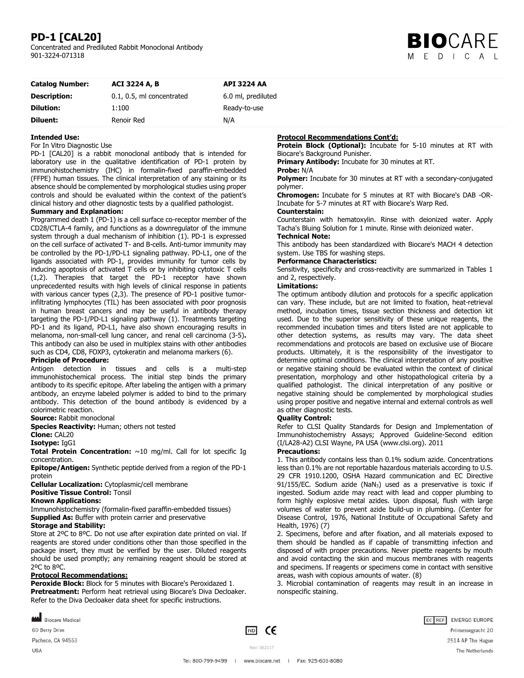## **PD-1 [CAL20]**

Concentrated and Prediluted Rabbit Monoclonal Antibody 901-3224-071318



| <b>Catalog Number:</b> | <b>ACI 3224 A, B</b>      | <b>API 3224 AA</b> |  |
|------------------------|---------------------------|--------------------|--|
| <b>Description:</b>    | 0.1, 0.5, ml concentrated | 6.0 ml, prediluted |  |
| <b>Dilution:</b>       | 1:100                     | Ready-to-use       |  |
| Diluent:               | Renoir Red                | N/A                |  |

#### **Intended Use:**

#### For In Vitro Diagnostic Use

PD-1 [CAL20] is a rabbit monoclonal antibody that is intended for laboratory use in the qualitative identification of PD-1 protein by immunohistochemistry (IHC) in formalin-fixed paraffin-embedded (FFPE) human tissues. The clinical interpretation of any staining or its absence should be complemented by morphological studies using proper controls and should be evaluated within the context of the patient's clinical history and other diagnostic tests by a qualified pathologist.

## **Summary and Explanation:**

Programmed death 1 (PD-1) is a cell surface co-receptor member of the CD28/CTLA-4 family, and functions as a downregulator of the immune system through a dual mechanism of inhibition (1). PD-1 is expressed on the cell surface of activated T- and B-cells. Anti-tumor immunity may be controlled by the PD-1/PD-L1 signaling pathway. PD-L1, one of the ligands associated with PD-1, provides immunity for tumor cells by inducing apoptosis of activated T cells or by inhibiting cytotoxic T cells (1,2). Therapies that target the PD-1 receptor have shown unprecedented results with high levels of clinical response in patients with various cancer types (2,3). The presence of PD-1 positive tumorinfiltrating lymphocytes (TIL) has been associated with poor prognosis in human breast cancers and may be useful in antibody therapy targeting the PD-1/PD-L1 signaling pathway (1). Treatments targeting PD-1 and its ligand, PD-L1, have also shown encouraging results in melanoma, non-small-cell lung cancer, and renal cell carcinoma (3-5)**.**  This antibody can also be used in multiplex stains with other antibodies such as CD4, CD8, FOXP3, cytokeratin and melanoma markers (6).

#### **Principle of Procedure:**

Antigen detection in tissues and cells is a multi-step immunohistochemical process. The initial step binds the primary antibody to its specific epitope. After labeling the antigen with a primary antibody, an enzyme labeled polymer is added to bind to the primary antibody. This detection of the bound antibody is evidenced by a colorimetric reaction.

**Source:** Rabbit monoclonal

**Species Reactivity:** Human; others not tested

#### **Clone:** CAL20

**Isotype:** IgG1

**Total Protein Concentration:** ~10 mg/ml. Call for lot specific Ig concentration.

**Epitope/Antigen:** Synthetic peptide derived from a region of the PD-1 protein

**Cellular Localization:** Cytoplasmic/cell membrane

## **Positive Tissue Control:** Tonsil

**Known Applications:** 

Immunohistochemistry (formalin-fixed paraffin-embedded tissues) **Supplied As:** Buffer with protein carrier and preservative

## **Storage and Stability:**

Store at 2ºC to 8ºC. Do not use after expiration date printed on vial. If reagents are stored under conditions other than those specified in the package insert, they must be verified by the user. Diluted reagents should be used promptly; any remaining reagent should be stored at 2ºC to 8ºC.

## **Protocol Recommendations:**

**Peroxide Block:** Block for 5 minutes with Biocare's Peroxidazed 1. **Pretreatment:** Perform heat retrieval using Biocare's Diva Decloaker. Refer to the Diva Decloaker data sheet for specific instructions.

**Protocol Recommendations Cont'd:** 

**Protein Block (Optional):** Incubate for 5-10 minutes at RT with Biocare's Background Punisher.

**Primary Antibody:** Incubate for 30 minutes at RT.

#### **Probe:** N/A

**Polymer:** Incubate for 30 minutes at RT with a secondary-conjugated polymer.

**Chromogen:** Incubate for 5 minutes at RT with Biocare's DAB -OR-Incubate for 5-7 minutes at RT with Biocare's Warp Red.

#### **Counterstain:**

Counterstain with hematoxylin. Rinse with deionized water. Apply Tacha's Bluing Solution for 1 minute. Rinse with deionized water.

## **Technical Note:**

This antibody has been standardized with Biocare's MACH 4 detection system. Use TBS for washing steps.

#### **Performance Characteristics:**

Sensitivity, specificity and cross-reactivity are summarized in Tables 1 and 2, respectively.

### **Limitations:**

The optimum antibody dilution and protocols for a specific application can vary. These include, but are not limited to fixation, heat-retrieval method, incubation times, tissue section thickness and detection kit used. Due to the superior sensitivity of these unique reagents, the recommended incubation times and titers listed are not applicable to other detection systems, as results may vary. The data sheet recommendations and protocols are based on exclusive use of Biocare products. Ultimately, it is the responsibility of the investigator to determine optimal conditions. The clinical interpretation of any positive or negative staining should be evaluated within the context of clinical presentation, morphology and other histopathological criteria by a qualified pathologist. The clinical interpretation of any positive or negative staining should be complemented by morphological studies using proper positive and negative internal and external controls as well as other diagnostic tests.

#### **Quality Control:**

Refer to CLSI Quality Standards for Design and Implementation of Immunohistochemistry Assays; Approved Guideline-Second edition (I/LA28-A2) CLSI Wayne, PA USA (www.clsi.org). 2011

#### **Precautions:**

1. This antibody contains less than 0.1% sodium azide. Concentrations less than 0.1% are not reportable hazardous materials according to U.S. 29 CFR 1910.1200, OSHA Hazard communication and EC Directive 91/155/EC. Sodium azide (NaN<sub>3</sub>) used as a preservative is toxic if ingested. Sodium azide may react with lead and copper plumbing to form highly explosive metal azides. Upon disposal, flush with large volumes of water to prevent azide build-up in plumbing. (Center for Disease Control, 1976, National Institute of Occupational Safety and Health, 1976) (7)

2. Specimens, before and after fixation, and all materials exposed to them should be handled as if capable of transmitting infection and disposed of with proper precautions. Never pipette reagents by mouth and avoid contacting the skin and mucous membranes with reagents and specimens. If reagents or specimens come in contact with sensitive areas, wash with copious amounts of water. (8)

3. Microbial contamination of reagents may result in an increase in nonspecific staining.

**MAN** Biocare Medical

60 Berry Drive

Pacheco, CA 94553

USA

 $\overline{1}$  TVD  $\overline{C}$ 

EC REP EMERGO EUROPE Prinsessegracht 20 2514 AP The Hague The Netherlands